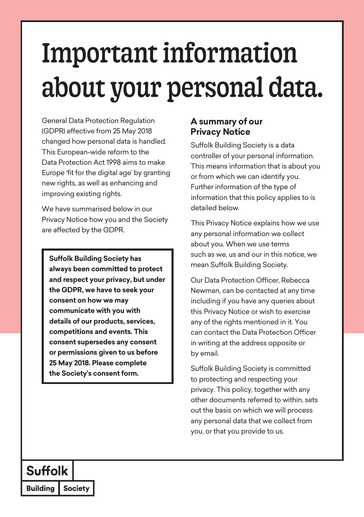# Important information about your personal data.

General Data Protection Regulation (GDPR) effective from 25 May 2018 changed how personal data is handled. This European-wide reform to the Data Protection Act 1998 aims to make Europe 'fit for the digital age' by granting new rights, as well as enhancing and improving existing rights.

We have summarised below in our Privacy Notice how you and the Society are affected by the GDPR.

**Suffolk Building Society has always been committed to protect and respect your privacy, but under the GDPR, we have to seek your consent on how we may communicate with you with details of our products, services, competitions and events. This consent supersedes any consent or permissions given to us before 25 May 2018. Please complete the Society's consent form.**

## **A summary of our Privacy Notice**

Suffolk Building Society is a data controller of your personal information. This means information that is about you or from which we can identify you. Further information of the type of information that this policy applies to is detailed below.

This Privacy Notice explains how we use any personal information we collect about you. When we use terms such as we, us and our in this notice, we mean Suffolk Building Society.

Our Data Protection Officer, Rebecca Newman, can be contacted at any time including if you have any queries about this Privacy Notice or wish to exercise any of the rights mentioned in it. You can contact the Data Protection Officer in writing at the address opposite or by email.

Suffolk Building Society is committed to protecting and respecting your privacy. This policy, together with any other documents referred to within, sets out the basis on which we will process any personal data that we collect from you, or that you provide to us.

# **Suffolk**

**Building Society**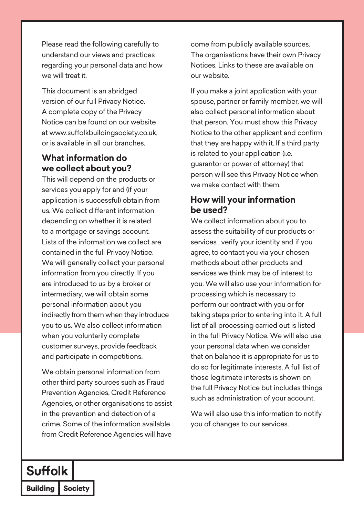Please read the following carefully to understand our views and practices regarding your personal data and how we will treat it.

This document is an abridged version of our full Privacy Notice. A complete copy of the Privacy Notice can be found on our website at www.suffolkbuildingsociety.co.uk, or is available in all our branches.

## **What information do we collect about you?**

This will depend on the products or services you apply for and (if your application is successful) obtain from us. We collect different information depending on whether it is related to a mortgage or savings account. Lists of the information we collect are contained in the full Privacy Notice. We will generally collect your personal information from you directly. If you are introduced to us by a broker or intermediary, we will obtain some personal information about you indirectly from them when they introduce you to us. We also collect information when you voluntarily complete customer surveys, provide feedback and participate in competitions.

We obtain personal information from other third party sources such as Fraud Prevention Agencies, Credit Reference Agencies, or other organisations to assist in the prevention and detection of a crime. Some of the information available from Credit Reference Agencies will have

come from publicly available sources. The organisations have their own Privacy Notices. Links to these are available on our website.

If you make a joint application with your spouse, partner or family member, we will also collect personal information about that person. You must show this Privacy Notice to the other applicant and confirm that they are happy with it. If a third party is related to your application (i.e. guarantor or power of attorney) that person will see this Privacy Notice when we make contact with them.

#### **How will your information be used?**

We collect information about you to assess the suitability of our products or services , verify your identity and if you agree, to contact you via your chosen methods about other products and services we think may be of interest to you. We will also use your information for processing which is necessary to perform our contract with you or for taking steps prior to entering into it. A full list of all processing carried out is listed in the full Privacy Notice. We will also use your personal data when we consider that on balance it is appropriate for us to do so for legitimate interests. A full list of those legitimate interests is shown on the full Privacy Notice but includes things such as administration of your account.

We will also use this information to notify you of changes to our services.

# **Suffolk**

**Building Society**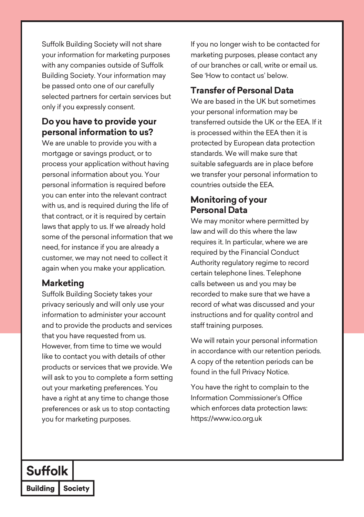Suffolk Building Society will not share your information for marketing purposes with any companies outside of Suffolk Building Society. Your information may be passed onto one of our carefully selected partners for certain services but only if you expressly consent.

#### **Do you have to provide your personal information to us?**

We are unable to provide you with a mortgage or savings product, or to process your application without having personal information about you. Your personal information is required before you can enter into the relevant contract with us, and is required during the life of that contract, or it is required by certain laws that apply to us. If we already hold some of the personal information that we need, for instance if you are already a customer, we may not need to collect it again when you make your application.

#### **Marketing**

Suffolk Building Society takes your privacy seriously and will only use your information to administer your account and to provide the products and services that you have requested from us. However, from time to time we would like to contact you with details of other products or services that we provide. We will ask to you to complete a form setting out your marketing preferences. You have a right at any time to change those preferences or ask us to stop contacting you for marketing purposes.

If you no longer wish to be contacted for marketing purposes, please contact any of our branches or call, write or email us. See 'How to contact us' below.

## **Transfer of Personal Data**

We are based in the UK but sometimes your personal information may be transferred outside the UK or the EEA. If it is processed within the EEA then it is protected by European data protection standards. We will make sure that suitable safeguards are in place before we transfer your personal information to countries outside the EEA.

#### **Monitoring of your Personal Data**

We may monitor where permitted by law and will do this where the law requires it. In particular, where we are required by the Financial Conduct Authority regulatory regime to record certain telephone lines. Telephone calls between us and you may be recorded to make sure that we have a record of what was discussed and your instructions and for quality control and staff training purposes.

We will retain your personal information in accordance with our retention periods. A copy of the retention periods can be found in the full Privacy Notice.

You have the right to complain to the Information Commissioner's Office which enforces data protection laws: https://www.ico.org.uk

# **Suffolk**

**Building Society**